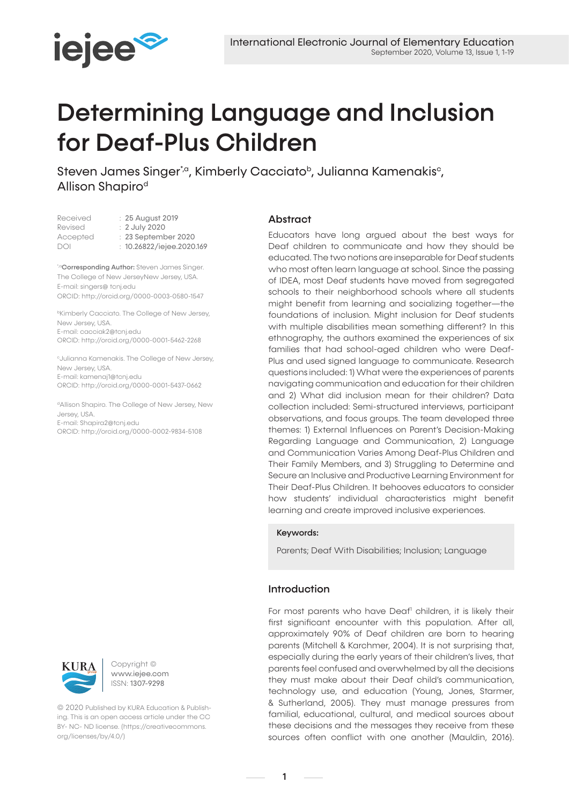

# Determining Language and Inclusion for Deaf-Plus Children

Steven James Singer<sup>\*</sup>, Kimberly Cacciato<sup>b</sup>, Julianna Kamenakis<sup>c</sup>, Allison Shapiro<sup>d</sup>

| Received | : 25 August 2019          |
|----------|---------------------------|
| Revised  | : 2 July 2020             |
| Accepted | : 23 September 2020       |
| DOI      | : 10.26822/iejee.2020.169 |
|          |                           |

\*<sup>o</sup>Corresponding Author: Steven James Singer. The College of New JerseyNew Jersey, USA. E-mail: singers@ tcnj.edu ORCID: http://orcid.org/0000-0003-0580-1547

**bKimberly Cacciato. The College of New Jersey,** New Jersey, USA. E-mail: cacciak2@tcnj.edu ORCID: http://orcid.org/0000-0001-5462-2268

cJulianna Kamenakis. The College of New Jersey, New Jersey, USA. E-mail: kamenaj1@tcnj.edu ORCID: http://orcid.org/0000-0001-5437-0662

dAllison Shapiro. The College of New Jersey, New Jersey, USA. E-mail: Shapira2@tcnj.edu

ORCID: http://orcid.org/0000-0002-9834-5108



Copyright © www.iejee.com ISSN: 1307-9298

© 2020 Published by KURA Education & Publishing. This is an open access article under the CC BY- NC- ND license. (https://creativecommons. org/licenses/by/4.0/)

# **Abstract**

Educators have long argued about the best ways for Deaf children to communicate and how they should be educated. The two notions are inseparable for Deaf students who most often learn language at school. Since the passing of IDEA, most Deaf students have moved from segregated schools to their neighborhood schools where all students might benefit from learning and socializing together—the foundations of inclusion. Might inclusion for Deaf students with multiple disabilities mean something different? In this ethnography, the authors examined the experiences of six families that had school-aged children who were Deaf-Plus and used signed language to communicate. Research questions included: 1) What were the experiences of parents navigating communication and education for their children and 2) What did inclusion mean for their children? Data collection included: Semi-structured interviews, participant observations, and focus groups. The team developed three themes: 1) External Influences on Parent's Decision-Making Regarding Language and Communication, 2) Language and Communication Varies Among Deaf-Plus Children and Their Family Members, and 3) Struggling to Determine and Secure an Inclusive and Productive Learning Environment for Their Deaf-Plus Children. It behooves educators to consider how students' individual characteristics might benefit learning and create improved inclusive experiences.

# Keywords:

Parents; Deaf With Disabilities; Inclusion; Language

# Introduction

For most parents who have Deaf<sup>1</sup> children, it is likely their first significant encounter with this population. After all, approximately 90% of Deaf children are born to hearing parents (Mitchell & Karchmer, 2004). It is not surprising that, especially during the early years of their children's lives, that parents feel confused and overwhelmed by all the decisions they must make about their Deaf child's communication, technology use, and education (Young, Jones, Starmer, & Sutherland, 2005). They must manage pressures from familial, educational, cultural, and medical sources about these decisions and the messages they receive from these sources often conflict with one another (Mauldin, 2016).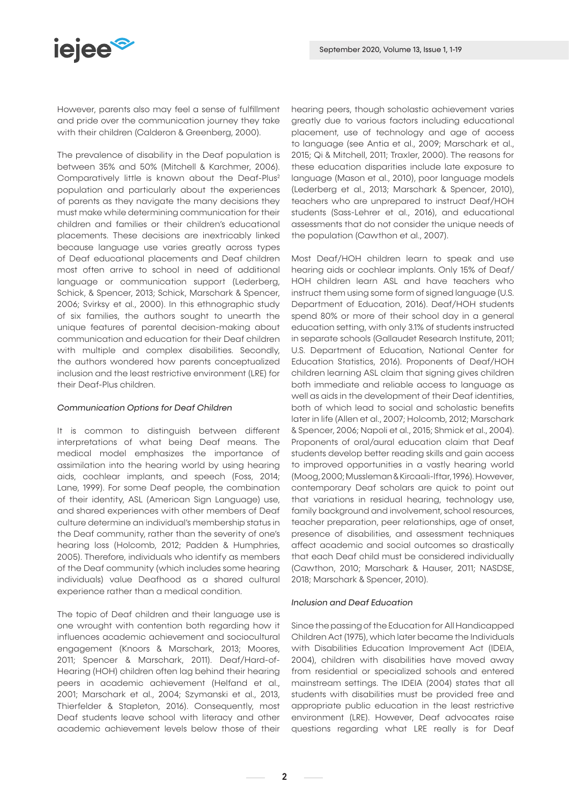

However, parents also may feel a sense of fulfillment and pride over the communication journey they take with their children (Calderon & Greenberg, 2000).

The prevalence of disability in the Deaf population is between 35% and 50% (Mitchell & Karchmer, 2006). Comparatively little is known about the Deaf-Plus<sup>2</sup> population and particularly about the experiences of parents as they navigate the many decisions they must make while determining communication for their children and families or their children's educational placements. These decisions are inextricably linked because language use varies greatly across types of Deaf educational placements and Deaf children most often arrive to school in need of additional language or communication support (Lederberg, Schick, & Spencer, 2013; Schick, Marschark & Spencer, 2006; Svirksy et al., 2000). In this ethnographic study of six families, the authors sought to unearth the unique features of parental decision-making about communication and education for their Deaf children with multiple and complex disabilities. Secondly, the authors wondered how parents conceptualized inclusion and the least restrictive environment (LRE) for their Deaf-Plus children.

# *Communication Options for Deaf Children*

It is common to distinguish between different interpretations of what being Deaf means. The medical model emphasizes the importance of assimilation into the hearing world by using hearing aids, cochlear implants, and speech (Foss, 2014; Lane, 1999). For some Deaf people, the combination of their identity, ASL (American Sign Language) use, and shared experiences with other members of Deaf culture determine an individual's membership status in the Deaf community, rather than the severity of one's hearing loss (Holcomb, 2012; Padden & Humphries, 2005). Therefore, individuals who identify as members of the Deaf community (which includes some hearing individuals) value Deafhood as a shared cultural experience rather than a medical condition.

The topic of Deaf children and their language use is one wrought with contention both regarding how it influences academic achievement and sociocultural engagement (Knoors & Marschark, 2013; Moores, 2011; Spencer & Marschark, 2011). Deaf/Hard-of-Hearing (HOH) children often lag behind their hearing peers in academic achievement (Helfand et al., 2001; Marschark et al., 2004; Szymanski et al., 2013, Thierfelder & Stapleton, 2016). Consequently, most Deaf students leave school with literacy and other academic achievement levels below those of their hearing peers, though scholastic achievement varies greatly due to various factors including educational placement, use of technology and age of access to language (see Antia et al., 2009; Marschark et al., 2015; Qi & Mitchell, 2011; Traxler, 2000). The reasons for these education disparities include late exposure to language (Mason et al., 2010), poor language models (Lederberg et al., 2013; Marschark & Spencer, 2010), teachers who are unprepared to instruct Deaf/HOH students (Sass-Lehrer et al., 2016), and educational assessments that do not consider the unique needs of the population (Cawthon et al., 2007).

Most Deaf/HOH children learn to speak and use hearing aids or cochlear implants. Only 15% of Deaf/ HOH children learn ASL and have teachers who instruct them using some form of signed language (U.S. Department of Education, 2016). Deaf/HOH students spend 80% or more of their school day in a general education setting, with only 3.1% of students instructed in separate schools (Gallaudet Research Institute, 2011; U.S. Department of Education, National Center for Education Statistics, 2016). Proponents of Deaf/HOH children learning ASL claim that signing gives children both immediate and reliable access to language as well as aids in the development of their Deaf identities, both of which lead to social and scholastic benefits later in life (Allen et al., 2007; Holcomb, 2012; Marschark & Spencer, 2006; Napoli et al., 2015; Shmick et al., 2004). Proponents of oral/aural education claim that Deaf students develop better reading skills and gain access to improved opportunities in a vastly hearing world (Moog, 2000; Mussleman & Kircaali-Iftar, 1996). However, contemporary Deaf scholars are quick to point out that variations in residual hearing, technology use, family background and involvement, school resources, teacher preparation, peer relationships, age of onset, presence of disabilities, and assessment techniques affect academic and social outcomes so drastically that each Deaf child must be considered individually (Cawthon, 2010; Marschark & Hauser, 2011; NASDSE, 2018; Marschark & Spencer, 2010).

# *Inclusion and Deaf Education*

Since the passing of the Education for All Handicapped Children Act (1975), which later became the Individuals with Disabilities Education Improvement Act (IDEIA, 2004), children with disabilities have moved away from residential or specialized schools and entered mainstream settings. The IDEIA (2004) states that all students with disabilities must be provided free and appropriate public education in the least restrictive environment (LRE). However, Deaf advocates raise questions regarding what LRE really is for Deaf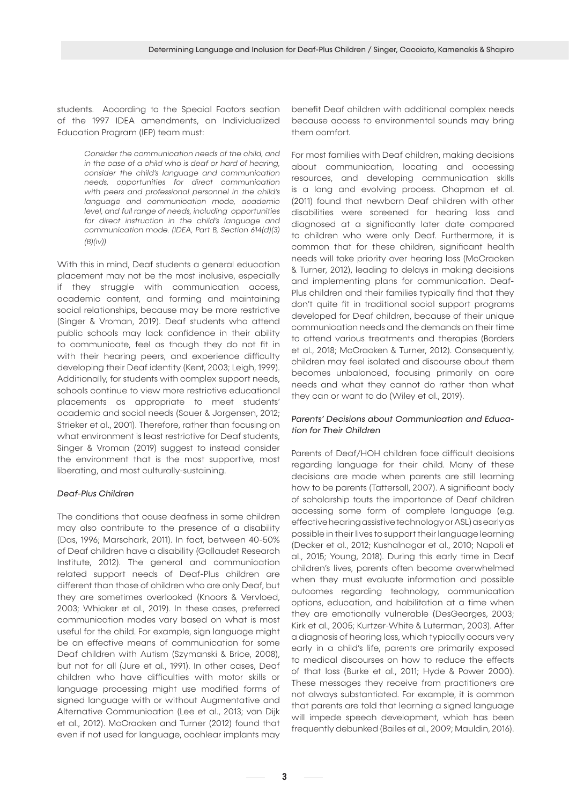students. According to the Special Factors section of the 1997 IDEA amendments, an Individualized Education Program (IEP) team must:

> *Consider the communication needs of the child, and in the case of a child who is deaf or hard of hearing, consider the child's language and communication needs, opportunities for direct communication with peers and professional personnel in the child's language and communication mode, academic level, and full range of needs, including opportunities for direct instruction in the child's language and communication mode. (IDEA, Part B, Section 614(d)(3) (B)(iv))*

With this in mind, Deaf students a general education placement may not be the most inclusive, especially if they struggle with communication access, academic content, and forming and maintaining social relationships, because may be more restrictive (Singer & Vroman, 2019). Deaf students who attend public schools may lack confidence in their ability to communicate, feel as though they do not fit in with their hearing peers, and experience difficulty developing their Deaf identity (Kent, 2003; Leigh, 1999). Additionally, for students with complex support needs, schools continue to view more restrictive educational placements as appropriate to meet students' academic and social needs (Sauer & Jorgensen, 2012; Strieker et al., 2001). Therefore, rather than focusing on what environment is least restrictive for Deaf students, Singer & Vroman (2019) suggest to instead consider the environment that is the most supportive, most liberating, and most culturally-sustaining.

# *Deaf-Plus Children*

The conditions that cause deafness in some children may also contribute to the presence of a disability (Das, 1996; Marschark, 2011). In fact, between 40-50% of Deaf children have a disability (Gallaudet Research Institute, 2012). The general and communication related support needs of Deaf-Plus children are different than those of children who are only Deaf, but they are sometimes overlooked (Knoors & Vervloed, 2003; Whicker et al., 2019). In these cases, preferred communication modes vary based on what is most useful for the child. For example, sign language might be an effective means of communication for some Deaf children with Autism (Szymanski & Brice, 2008), but not for all (Jure et al., 1991). In other cases, Deaf children who have difficulties with motor skills or language processing might use modified forms of signed language with or without Augmentative and Alternative Communication (Lee et al., 2013; van Dijk et al., 2012). McCracken and Turner (2012) found that even if not used for language, cochlear implants may benefit Deaf children with additional complex needs because access to environmental sounds may bring them comfort.

For most families with Deaf children, making decisions about communication, locating and accessing resources, and developing communication skills is a long and evolving process. Chapman et al. (2011) found that newborn Deaf children with other disabilities were screened for hearing loss and diagnosed at a significantly later date compared to children who were only Deaf. Furthermore, it is common that for these children, significant health needs will take priority over hearing loss (McCracken & Turner, 2012), leading to delays in making decisions and implementing plans for communication. Deaf-Plus children and their families typically find that they don't quite fit in traditional social support programs developed for Deaf children, because of their unique communication needs and the demands on their time to attend various treatments and therapies (Borders et al., 2018; McCracken & Turner, 2012). Consequently, children may feel isolated and discourse about them becomes unbalanced, focusing primarily on care needs and what they cannot do rather than what they can or want to do (Wiley et al., 2019).

# *Parents' Decisions about Communication and Education for Their Children*

Parents of Deaf/HOH children face difficult decisions regarding language for their child. Many of these decisions are made when parents are still learning how to be parents (Tattersall, 2007). A significant body of scholarship touts the importance of Deaf children accessing some form of complete language (e.g. effective hearing assistive technology or ASL) as early as possible in their lives to support their language learning (Decker et al., 2012; Kushalnagar et al., 2010; Napoli et al., 2015; Young, 2018). During this early time in Deaf children's lives, parents often become overwhelmed when they must evaluate information and possible outcomes regarding technology, communication options, education, and habilitation at a time when they are emotionally vulnerable (DesGeorges, 2003; Kirk et al., 2005; Kurtzer-White & Luterman, 2003). After a diagnosis of hearing loss, which typically occurs very early in a child's life, parents are primarily exposed to medical discourses on how to reduce the effects of that loss (Burke et al., 2011; Hyde & Power 2000). These messages they receive from practitioners are not always substantiated. For example, it is common that parents are told that learning a signed language will impede speech development, which has been frequently debunked (Bailes et al., 2009; Mauldin, 2016).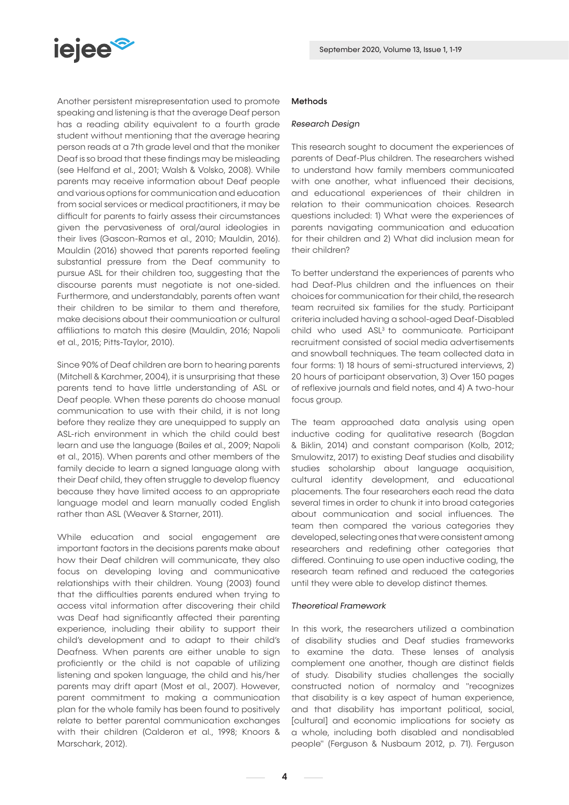

Another persistent misrepresentation used to promote speaking and listening is that the average Deaf person has a reading ability equivalent to a fourth grade student without mentioning that the average hearing person reads at a 7th grade level and that the moniker Deaf is so broad that these findings may be misleading (see Helfand et al., 2001; Walsh & Volsko, 2008). While parents may receive information about Deaf people and various options for communication and education from social services or medical practitioners, it may be difficult for parents to fairly assess their circumstances given the pervasiveness of oral/aural ideologies in their lives (Gascon-Ramos et al., 2010; Mauldin, 2016). Mauldin (2016) showed that parents reported feeling substantial pressure from the Deaf community to pursue ASL for their children too, suggesting that the discourse parents must negotiate is not one-sided. Furthermore, and understandably, parents often want their children to be similar to them and therefore, make decisions about their communication or cultural affiliations to match this desire (Mauldin, 2016; Napoli et al., 2015; Pitts-Taylor, 2010).

Since 90% of Deaf children are born to hearing parents (Mitchell & Karchmer, 2004), it is unsurprising that these parents tend to have little understanding of ASL or Deaf people. When these parents do choose manual communication to use with their child, it is not long before they realize they are unequipped to supply an ASL-rich environment in which the child could best learn and use the language (Bailes et al., 2009; Napoli et al., 2015). When parents and other members of the family decide to learn a signed language along with their Deaf child, they often struggle to develop fluency because they have limited access to an appropriate language model and learn manually coded English rather than ASL (Weaver & Starner, 2011).

While education and social engagement are important factors in the decisions parents make about how their Deaf children will communicate, they also focus on developing loving and communicative relationships with their children. Young (2003) found that the difficulties parents endured when trying to access vital information after discovering their child was Deaf had significantly affected their parenting experience, including their ability to support their child's development and to adapt to their child's Deafness. When parents are either unable to sign proficiently or the child is not capable of utilizing listening and spoken language, the child and his/her parents may drift apart (Most et al., 2007). However, parent commitment to making a communication plan for the whole family has been found to positively relate to better parental communication exchanges with their children (Calderon et al., 1998; Knoors & Marschark, 2012).

# Methods

# *Research Design*

This research sought to document the experiences of parents of Deaf-Plus children. The researchers wished to understand how family members communicated with one another, what influenced their decisions, and educational experiences of their children in relation to their communication choices. Research questions included: 1) What were the experiences of parents navigating communication and education for their children and 2) What did inclusion mean for their children?

To better understand the experiences of parents who had Deaf-Plus children and the influences on their choices for communication for their child, the research team recruited six families for the study. Participant criteria included having a school-aged Deaf-Disabled child who used ASL3 to communicate. Participant recruitment consisted of social media advertisements and snowball techniques. The team collected data in four forms: 1) 18 hours of semi-structured interviews, 2) 20 hours of participant observation, 3) Over 150 pages of reflexive journals and field notes, and 4) A two-hour focus group.

The team approached data analysis using open inductive coding for qualitative research (Bogdan & Biklin, 2014) and constant comparison (Kolb, 2012; Smulowitz, 2017) to existing Deaf studies and disability studies scholarship about language acquisition, cultural identity development, and educational placements. The four researchers each read the data several times in order to chunk it into broad categories about communication and social influences. The team then compared the various categories they developed, selecting ones that were consistent among researchers and redefining other categories that differed. Continuing to use open inductive coding, the research team refined and reduced the categories until they were able to develop distinct themes.

#### *Theoretical Framework*

In this work, the researchers utilized a combination of disability studies and Deaf studies frameworks to examine the data. These lenses of analysis complement one another, though are distinct fields of study. Disability studies challenges the socially constructed notion of normalcy and "recognizes that disability is a key aspect of human experience, and that disability has important political, social, [cultural] and economic implications for society as a whole, including both disabled and nondisabled people" (Ferguson & Nusbaum 2012, p. 71). Ferguson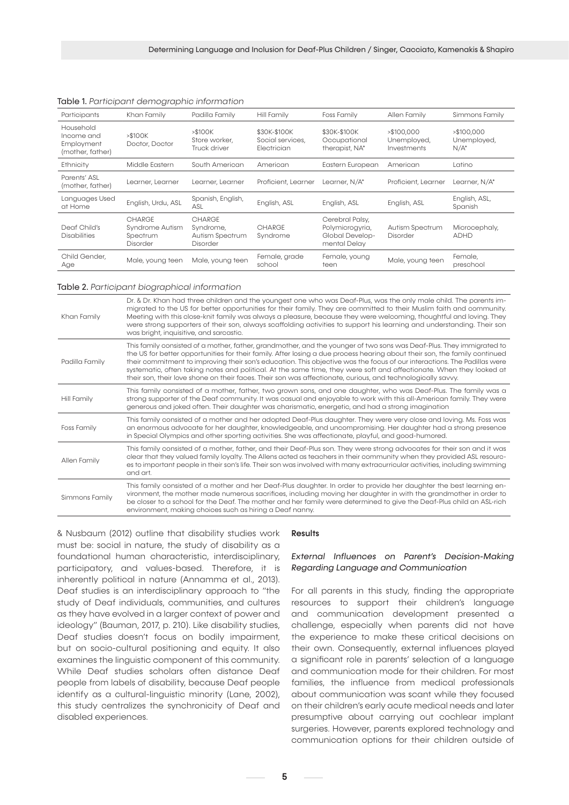| Participants                                              | Khan Family                                       | Padilla Family                                     | Hill Family                                            | Foss Family                                                           | Allen Family                              | Simmons Family                        |
|-----------------------------------------------------------|---------------------------------------------------|----------------------------------------------------|--------------------------------------------------------|-----------------------------------------------------------------------|-------------------------------------------|---------------------------------------|
| Household<br>Income and<br>Employment<br>(mother, father) | > \$100K<br>Doctor, Doctor                        | > \$100K<br>Store worker,<br>Truck driver          | \$30K-\$100K<br>Social services,<br><b>Electrician</b> | \$30K-\$100K<br>Occupational<br>therapist, NA*                        | > \$100.000<br>Unemployed,<br>Investments | > \$100.000<br>Unemployed,<br>$N/A^*$ |
| Ethnicity                                                 | Middle Eastern                                    | South American                                     | American                                               | Eastern European                                                      | American                                  | Latino                                |
| Parents' ASL<br>(mother, father)                          | Learner, Learner                                  | Learner, Learner                                   | Proficient, Learner                                    | Learner, N/A*                                                         | Proficient, Learner                       | Learner, N/A*                         |
| Languages Used<br>at Home                                 | English, Urdu, ASL                                | Spanish, English,<br>ASL                           | English, ASL                                           | English, ASL                                                          | English, ASL                              | English, ASL,<br>Spanish              |
| Deaf Child's<br><b>Disabilities</b>                       | CHARGE<br>Syndrome Autism<br>Spectrum<br>Disorder | CHARGE<br>Syndrome.<br>Autism Spectrum<br>Disorder | <b>CHARGE</b><br>Syndrome                              | Cerebral Palsy,<br>Polymicrogyria,<br>Global Develop-<br>mental Delay | Autism Spectrum<br>Disorder               | Microcephaly,<br><b>ADHD</b>          |
| Child Gender,<br>Age                                      | Male, young teen                                  | Male, young teen                                   | Female, grade<br>school                                | Female, young<br>teen                                                 | Male, young teen                          | Female.<br>preschool                  |

#### Table 1. *Participant demographic information*

## Table 2. *Participant biographical information*

| Khan Family    | Dr. & Dr. Khan had three children and the youngest one who was Deaf-Plus, was the only male child. The parents im-<br>migrated to the US for better opportunities for their family. They are committed to their Muslim faith and community.<br>Meeting with this close-knit family was always a pleasure, because they were welcoming, thoughtful and loving. They<br>were strong supporters of their son, always scaffolding activities to support his learning and understanding. Their son<br>was bright, inquisitive, and sarcastic.                                                                               |
|----------------|------------------------------------------------------------------------------------------------------------------------------------------------------------------------------------------------------------------------------------------------------------------------------------------------------------------------------------------------------------------------------------------------------------------------------------------------------------------------------------------------------------------------------------------------------------------------------------------------------------------------|
| Padilla Family | This family consisted of a mother, father, grandmother, and the younger of two sons was Deaf-Plus. They immigrated to<br>the US for better opportunities for their family. After losing a due process hearing about their son, the family continued<br>their commitment to improving their son's education. This objective was the focus of our interactions. The Padillas were<br>systematic, often taking notes and political. At the same time, they were soft and affectionate. When they looked at<br>their son, their love shone on their faces. Their son was affectionate, curious, and technologically savvy. |
| Hill Family    | This family consisted of a mother, father, two grown sons, and one daughter, who was Deaf-Plus. The family was a<br>strong supporter of the Deaf community. It was casual and enjoyable to work with this all-American family. They were<br>generous and joked often. Their daughter was charismatic, energetic, and had a strong imagination                                                                                                                                                                                                                                                                          |
| Foss Family    | This family consisted of a mother and her adopted Deaf-Plus daughter. They were very close and loving. Ms. Foss was<br>an enormous advocate for her daughter, knowledgeable, and uncompromising. Her daughter had a strong presence<br>in Special Olympics and other sporting activities. She was affectionate, playful, and good-humored.                                                                                                                                                                                                                                                                             |
| Allen Family   | This family consisted of a mother, father, and their Deaf-Plus son. They were strong advocates for their son and it was<br>clear that they valued family loyalty. The Allens acted as teachers in their community when they provided ASL resourc-<br>es to important people in their son's life. Their son was involved with many extracurricular activities, including swimming<br>and art.                                                                                                                                                                                                                           |
| Simmons Family | This family consisted of a mother and her Deaf-Plus daughter. In order to provide her daughter the best learning en-<br>vironment, the mother made numerous sacrifices, including moving her daughter in with the grandmother in order to<br>be closer to a school for the Deaf. The mother and her family were determined to give the Deaf-Plus child an ASL-rich<br>environment, making choices such as hiring a Deaf nanny.                                                                                                                                                                                         |

& Nusbaum (2012) outline that disability studies work must be: social in nature, the study of disability as a foundational human characteristic, interdisciplinary, participatory, and values-based. Therefore, it is inherently political in nature (Annamma et al., 2013). Deaf studies is an interdisciplinary approach to "the study of Deaf individuals, communities, and cultures as they have evolved in a larger context of power and ideology" (Bauman, 2017, p. 210). Like disability studies, Deaf studies doesn't focus on bodily impairment, but on socio-cultural positioning and equity. It also examines the linguistic component of this community. While Deaf studies scholars often distance Deaf people from labels of disability, because Deaf people identify as a cultural-linguistic minority (Lane, 2002), this study centralizes the synchronicity of Deaf and disabled experiences.

#### **Results**

# *External Influences on Parent's Decision-Making Regarding Language and Communication*

For all parents in this study, finding the appropriate resources to support their children's language and communication development presented a challenge, especially when parents did not have the experience to make these critical decisions on their own. Consequently, external influences played a significant role in parents' selection of a language and communication mode for their children. For most families, the influence from medical professionals about communication was scant while they focused on their children's early acute medical needs and later presumptive about carrying out cochlear implant surgeries. However, parents explored technology and communication options for their children outside of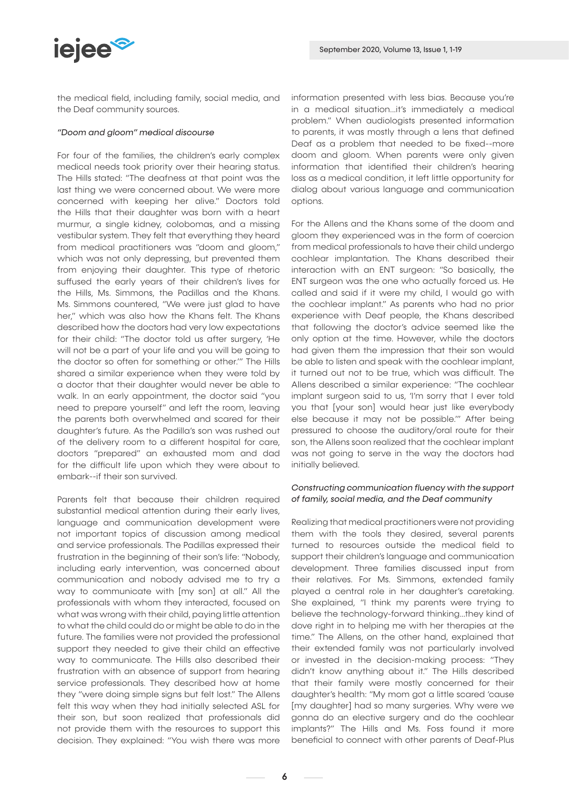

the medical field, including family, social media, and the Deaf community sources.

## *"Doom and gloom" medical discourse*

For four of the families, the children's early complex medical needs took priority over their hearing status. The Hills stated: "The deafness at that point was the last thing we were concerned about. We were more concerned with keeping her alive." Doctors told the Hills that their daughter was born with a heart murmur, a single kidney, colobomas, and a missing vestibular system. They felt that everything they heard from medical practitioners was "doom and gloom," which was not only depressing, but prevented them from enjoying their daughter. This type of rhetoric suffused the early years of their children's lives for the Hills, Ms. Simmons, the Padillas and the Khans. Ms. Simmons countered, "We were just glad to have her," which was also how the Khans felt. The Khans described how the doctors had very low expectations for their child: "The doctor told us after surgery, 'He will not be a part of your life and you will be going to the doctor so often for something or other.'" The Hills shared a similar experience when they were told by a doctor that their daughter would never be able to walk. In an early appointment, the doctor said "you need to prepare yourself" and left the room, leaving the parents both overwhelmed and scared for their daughter's future. As the Padilla's son was rushed out of the delivery room to a different hospital for care, doctors "prepared" an exhausted mom and dad for the difficult life upon which they were about to embark--if their son survived.

Parents felt that because their children required substantial medical attention during their early lives, language and communication development were not important topics of discussion among medical and service professionals. The Padillas expressed their frustration in the beginning of their son's life: "Nobody, including early intervention, was concerned about communication and nobody advised me to try a way to communicate with [my son] at all." All the professionals with whom they interacted, focused on what was wrong with their child, paying little attention to what the child could do or might be able to do in the future. The families were not provided the professional support they needed to give their child an effective way to communicate. The Hills also described their frustration with an absence of support from hearing service professionals. They described how at home they "were doing simple signs but felt lost." The Allens felt this way when they had initially selected ASL for their son, but soon realized that professionals did not provide them with the resources to support this decision. They explained: "You wish there was more information presented with less bias. Because you're in a medical situation...it's immediately a medical problem." When audiologists presented information to parents, it was mostly through a lens that defined Deaf as a problem that needed to be fixed--more doom and gloom. When parents were only given information that identified their children's hearing loss as a medical condition, it left little opportunity for dialog about various language and communication options.

For the Allens and the Khans some of the doom and gloom they experienced was in the form of coercion from medical professionals to have their child undergo cochlear implantation. The Khans described their interaction with an ENT surgeon: "So basically, the ENT surgeon was the one who actually forced us. He called and said if it were my child, I would go with the cochlear implant." As parents who had no prior experience with Deaf people, the Khans described that following the doctor's advice seemed like the only option at the time. However, while the doctors had given them the impression that their son would be able to listen and speak with the cochlear implant, it turned out not to be true, which was difficult. The Allens described a similar experience: "The cochlear implant surgeon said to us, 'I'm sorry that I ever told you that [your son] would hear just like everybody else because it may not be possible.'" After being pressured to choose the auditory/oral route for their son, the Allens soon realized that the cochlear implant was not going to serve in the way the doctors had initially believed.

# *Constructing communication fluency with the support of family, social media, and the Deaf community*

Realizing that medical practitioners were not providing them with the tools they desired, several parents turned to resources outside the medical field to support their children's language and communication development. Three families discussed input from their relatives. For Ms. Simmons, extended family played a central role in her daughter's caretaking. She explained, "I think my parents were trying to believe the technology-forward thinking...they kind of dove right in to helping me with her therapies at the time." The Allens, on the other hand, explained that their extended family was not particularly involved or invested in the decision-making process: "They didn't know anything about it." The Hills described that their family were mostly concerned for their daughter's health: "My mom got a little scared 'cause [my daughter] had so many surgeries. Why were we gonna do an elective surgery and do the cochlear implants?" The Hills and Ms. Foss found it more beneficial to connect with other parents of Deaf-Plus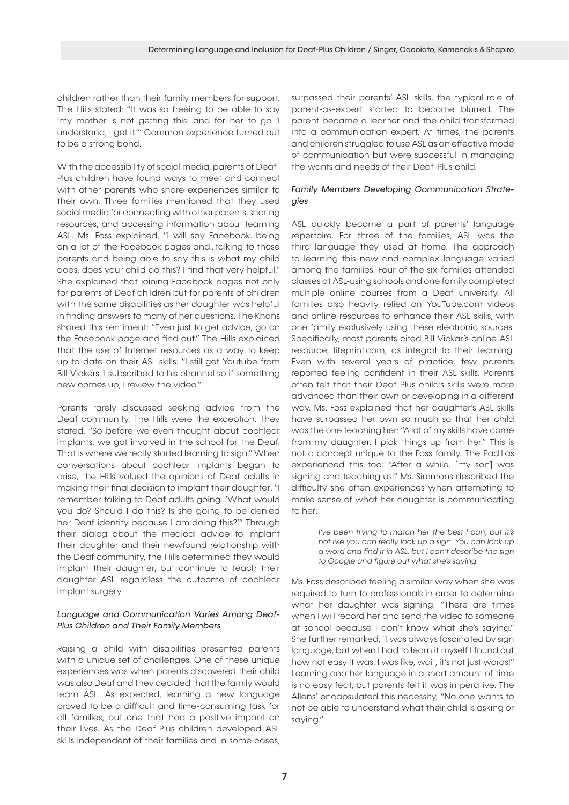children rather than their family members for support. The Hills stated: "It was so freeing to be able to say 'my mother is not getting this' and for her to go 'I understand, I get it.'" Common experience turned out to be a strong bond.

With the accessibility of social media, parents of Deaf-Plus children have found ways to meet and connect with other parents who share experiences similar to their own. Three families mentioned that they used social media for connecting with other parents, sharing resources, and accessing information about learning ASL. Ms. Foss explained, "I will say Facebook...being on a lot of the Facebook pages and...talking to those parents and being able to say this is what my child does, does your child do this? I find that very helpful." She explained that joining Facebook pages not only for parents of Deaf children but for parents of children with the same disabilities as her daughter was helpful in finding answers to many of her questions. The Khans shared this sentiment: "Even just to get advice, go on the Facebook page and find out." The Hills explained that the use of Internet resources as a way to keep up-to-date on their ASL skills: "I still get Youtube from Bill Vickers. I subscribed to his channel so if something new comes up, I review the video."

Parents rarely discussed seeking advice from the Deaf community. The Hills were the exception. They stated, "So before we even thought about cochlear implants, we got involved in the school for the Deaf. That is where we really started learning to sign." When conversations about cochlear implants began to arise, the Hills valued the opinions of Deaf adults in making their final decision to implant their daughter: "I remember talking to Deaf adults going: 'What would you do? Should I do this? Is she going to be denied her Deaf identity because I am doing this?'" Through their dialog about the medical advice to implant their daughter and their newfound relationship with the Deaf community, the Hills determined they would implant their daughter, but continue to teach their daughter ASL regardless the outcome of cochlear implant surgery.

# *Language and Communication Varies Among Deaf-Plus Children and Their Family Members*

Raising a child with disabilities presented parents with a unique set of challenges. One of these unique experiences was when parents discovered their child was also Deaf and they decided that the family would learn ASL. As expected, learning a new language proved to be a difficult and time-consuming task for all families, but one that had a positive impact on their lives. As the Deaf-Plus children developed ASL skills independent of their families and in some cases,

surpassed their parents' ASL skills, the typical role of parent-as-expert started to become blurred. The parent became a learner and the child transformed into a communication expert. At times, the parents and children struggled to use ASL as an effective mode of communication but were successful in managing the wants and needs of their Deaf-Plus child.

# *Family Members Developing Communication Strategies*

ASL quickly became a part of parents' language repertoire. For three of the families, ASL was the third language they used at home. The approach to learning this new and complex language varied among the families. Four of the six families attended classes at ASL-using schools and one family completed multiple online courses from a Deaf university. All families also heavily relied on YouTube.com videos and online resources to enhance their ASL skills, with one family exclusively using these electronic sources. Specifically, most parents cited Bill Vickar's online ASL resource, lifeprint.com, as integral to their learning. Even with several years of practice, few parents reported feeling confident in their ASL skills. Parents often felt that their Deaf-Plus child's skills were more advanced than their own or developing in a different way. Ms. Foss explained that her daughter's ASL skills have surpassed her own so much so that her child was the one teaching her: "A lot of my skills have come from my daughter. I pick things up from her." This is not a concept unique to the Foss family. The Padillas experienced this too: "After a while, [my son] was signing and teaching us!" Ms. Simmons described the difficulty she often experiences when attempting to make sense of what her daughter is communicating to her:

> *I've been trying to match her the best I can, but it's not like you can really look up a sign. You can look up a word and find it in ASL, but I can't describe the sign to Google and figure out what she's saying.*

Ms. Foss described feeling a similar way when she was required to turn to professionals in order to determine what her daughter was signing: "There are times when I will record her and send the video to someone at school because I don't know what she's saying." She further remarked, "I was always fascinated by sign language, but when I had to learn it myself I found out how not easy it was. I was like, wait, it's not just words!" Learning another language in a short amount of time is no easy feat, but parents felt it was imperative. The Allens' encapsulated this necessity, "No one wants to not be able to understand what their child is asking or saying."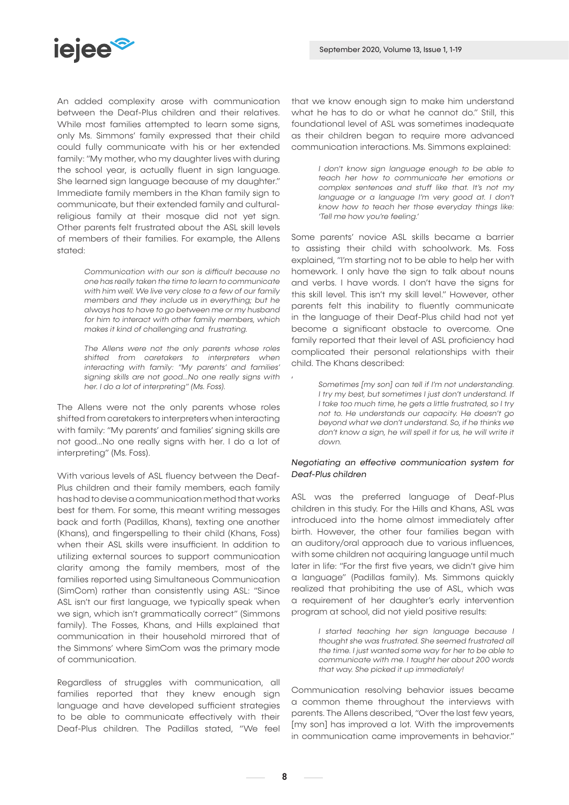

An added complexity arose with communication between the Deaf-Plus children and their relatives. While most families attempted to learn some signs only Ms. Simmons' family expressed that their child could fully communicate with his or her extended family: "My mother, who my daughter lives with during the school year, is actually fluent in sign language. She learned sign language because of my daughter." Immediate family members in the Khan family sign to communicate, but their extended family and culturalreligious family at their mosque did not yet sign. Other parents felt frustrated about the ASL skill levels of members of their families. For example, the Allens stated:

> *Communication with our son is difficult because no one has really taken the time to learn to communicate with him well. We live very close to a few of our family members and they include us in everything; but he always has to have to go between me or my husband for him to interact with other family members, which makes it kind of challenging and frustrating.*

> *The Allens were not the only parents whose roles shifted from caretakers to interpreters when interacting with family: "My parents' and families' signing skills are not good...No one really signs with her. I do a lot of interpreting" (Ms. Foss).*

The Allens were not the only parents whose roles shifted from caretakers to interpreters when interacting with family: "My parents' and families' signing skills are not good...No one really signs with her. I do a lot of interpreting" (Ms. Foss).

With various levels of ASL fluency between the Deaf-Plus children and their family members, each family has had to devise a communication method that works best for them. For some, this meant writing messages back and forth (Padillas, Khans), texting one another (Khans), and fingerspelling to their child (Khans, Foss) when their ASL skills were insufficient. In addition to utilizing external sources to support communication clarity among the family members, most of the families reported using Simultaneous Communication (SimCom) rather than consistently using ASL: "Since ASL isn't our first language, we typically speak when we sign, which isn't grammatically correct" (Simmons family). The Fosses, Khans, and Hills explained that communication in their household mirrored that of the Simmons' where SimCom was the primary mode of communication.

Regardless of struggles with communication, all families reported that they knew enough sign language and have developed sufficient strategies to be able to communicate effectively with their Deaf-Plus children. The Padillas stated, "We feel

that we know enough sign to make him understand what he has to do or what he cannot do." Still, this foundational level of ASL was sometimes inadequate as their children began to require more advanced communication interactions. Ms. Simmons explained:

> *I don't know sign language enough to be able to teach her how to communicate her emotions or complex sentences and stuff like that. It's not my*  language or a language I'm very good at. I don't *know how to teach her those everyday things like: 'Tell me how you're feeling.'*

Some parents' novice ASL skills became a barrier to assisting their child with schoolwork. Ms. Foss explained, "I'm starting not to be able to help her with homework. I only have the sign to talk about nouns and verbs. I have words. I don't have the signs for this skill level. This isn't my skill level." However, other parents felt this inability to fluently communicate in the language of their Deaf-Plus child had not yet become a significant obstacle to overcome. One family reported that their level of ASL proficiency had complicated their personal relationships with their child. The Khans described:

*Sometimes [my son] can tell if I'm not understanding. I try my best, but sometimes I just don't understand. If I take too much time, he gets a little frustrated, so I try not to. He understands our capacity. He doesn't go beyond what we don't understand. So, if he thinks we don't know a sign, he will spell it for us, he will write it down.*

# *Negotiating an effective communication system for Deaf-Plus children*

ASL was the preferred language of Deaf-Plus children in this study. For the Hills and Khans, ASL was introduced into the home almost immediately after birth. However, the other four families began with an auditory/oral approach due to various influences, with some children not acquiring language until much later in life: "For the first five years, we didn't give him a language" (Padillas family). Ms. Simmons quickly realized that prohibiting the use of ASL, which was a requirement of her daughter's early intervention program at school, did not yield positive results:

> *I started teaching her sign language because I thought she was frustrated. She seemed frustrated all the time. I just wanted some way for her to be able to communicate with me. I taught her about 200 words that way. She picked it up immediately!*

Communication resolving behavior issues became a common theme throughout the interviews with parents. The Allens described, "Over the last few years, [my son] has improved a lot. With the improvements in communication came improvements in behavior."

,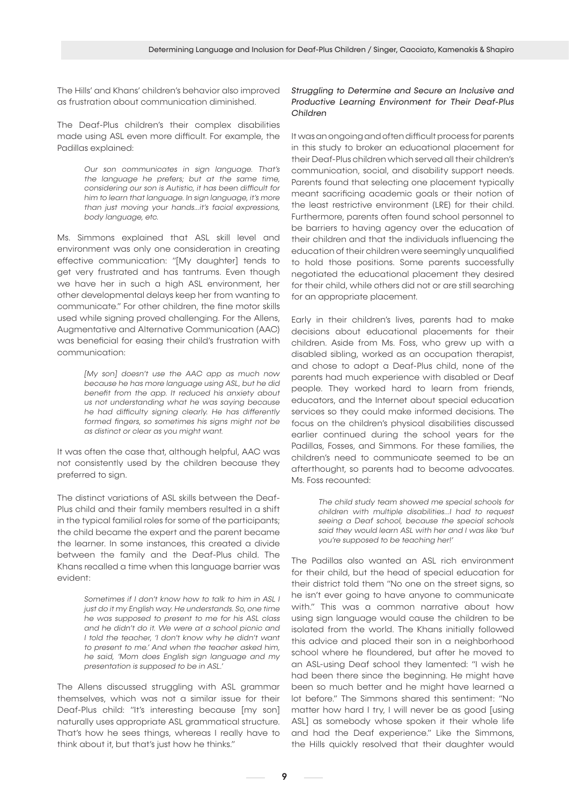The Hills' and Khans' children's behavior also improved as frustration about communication diminished.

The Deaf-Plus children's their complex disabilities made using ASL even more difficult. For example, the Padillas explained:

> *Our son communicates in sign language. That's the language he prefers; but at the same time, considering our son is Autistic, it has been difficult for him to learn that language. In sign language, it's more than just moving your hands...it's facial expressions, body language, etc.*

Ms. Simmons explained that ASL skill level and environment was only one consideration in creating effective communication: "[My daughter] tends to get very frustrated and has tantrums. Even though we have her in such a high ASL environment, her other developmental delays keep her from wanting to communicate." For other children, the fine motor skills used while signing proved challenging. For the Allens, Augmentative and Alternative Communication (AAC) was beneficial for easing their child's frustration with communication:

> *[My son] doesn't use the AAC app as much now because he has more language using ASL, but he did benefit from the app. It reduced his anxiety about us not understanding what he was saying because he had difficulty signing clearly. He has differently formed fingers, so sometimes his signs might not be as distinct or clear as you might want.*

It was often the case that, although helpful, AAC was not consistently used by the children because they preferred to sign.

The distinct variations of ASL skills between the Deaf-Plus child and their family members resulted in a shift in the typical familial roles for some of the participants; the child became the expert and the parent became the learner. In some instances, this created a divide between the family and the Deaf-Plus child. The Khans recalled a time when this language barrier was evident:

> *Sometimes if I don't know how to talk to him in ASL I just do it my English way. He understands. So, one time he was supposed to present to me for his ASL class and he didn't do it. We were at a school picnic and I told the teacher, 'I don't know why he didn't want to present to me.' And when the teacher asked him, he said, 'Mom does English sign language and my presentation is supposed to be in ASL.'*

The Allens discussed struggling with ASL grammar themselves, which was not a similar issue for their Deaf-Plus child: "It's interesting because [my son] naturally uses appropriate ASL grammatical structure. That's how he sees things, whereas I really have to think about it, but that's just how he thinks."

# *Struggling to Determine and Secure an Inclusive and Productive Learning Environment for Their Deaf-Plus Children*

It was an ongoing and often difficult process for parents in this study to broker an educational placement for their Deaf-Plus children which served all their children's communication, social, and disability support needs. Parents found that selecting one placement typically meant sacrificing academic goals or their notion of the least restrictive environment (LRE) for their child. Furthermore, parents often found school personnel to be barriers to having agency over the education of their children and that the individuals influencing the education of their children were seemingly unqualified to hold those positions. Some parents successfully negotiated the educational placement they desired for their child, while others did not or are still searching for an appropriate placement.

Early in their children's lives, parents had to make decisions about educational placements for their children. Aside from Ms. Foss, who grew up with a disabled sibling, worked as an occupation therapist, and chose to adopt a Deaf-Plus child, none of the parents had much experience with disabled or Deaf people. They worked hard to learn from friends, educators, and the Internet about special education services so they could make informed decisions. The focus on the children's physical disabilities discussed earlier continued during the school years for the Padillas, Fosses, and Simmons. For these families, the children's need to communicate seemed to be an afterthought, so parents had to become advocates. Ms. Foss recounted:

> *The child study team showed me special schools for children with multiple disabilities...I had to request seeing a Deaf school, because the special schools said they would learn ASL with her and I was like 'but you're supposed to be teaching her!'*

The Padillas also wanted an ASL rich environment for their child, but the head of special education for their district told them "No one on the street signs, so he isn't ever going to have anyone to communicate with." This was a common narrative about how using sign language would cause the children to be isolated from the world. The Khans initially followed this advice and placed their son in a neighborhood school where he floundered, but after he moved to an ASL-using Deaf school they lamented: "I wish he had been there since the beginning. He might have been so much better and he might have learned a lot before." The Simmons shared this sentiment: "No matter how hard I try, I will never be as good [using ASL] as somebody whose spoken it their whole life and had the Deaf experience." Like the Simmons, the Hills quickly resolved that their daughter would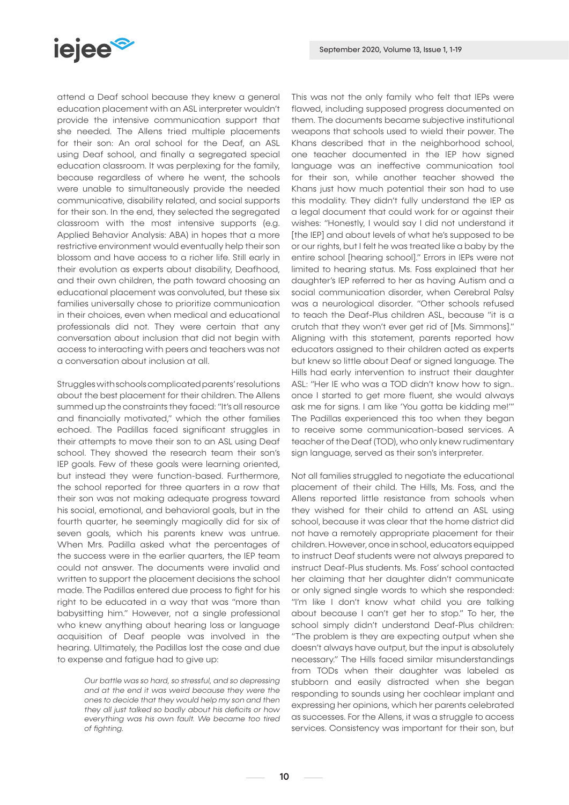

attend a Deaf school because they knew a general education placement with an ASL interpreter wouldn't provide the intensive communication support that she needed. The Allens tried multiple placements for their son: An oral school for the Deaf, an ASL using Deaf school, and finally a segregated special education classroom. It was perplexing for the family, because regardless of where he went, the schools were unable to simultaneously provide the needed communicative, disability related, and social supports for their son. In the end, they selected the segregated classroom with the most intensive supports (e.g. Applied Behavior Analysis: ABA) in hopes that a more restrictive environment would eventually help their son blossom and have access to a richer life. Still early in their evolution as experts about disability, Deafhood, and their own children, the path toward choosing an educational placement was convoluted, but these six families universally chose to prioritize communication in their choices, even when medical and educational professionals did not. They were certain that any conversation about inclusion that did not begin with access to interacting with peers and teachers was not a conversation about inclusion at all.

Struggles with schools complicated parents' resolutions about the best placement for their children. The Allens summed up the constraints they faced: "It's all resource and financially motivated," which the other families echoed. The Padillas faced significant struggles in their attempts to move their son to an ASL using Deaf school. They showed the research team their son's IEP goals. Few of these goals were learning oriented, but instead they were function-based. Furthermore, the school reported for three quarters in a row that their son was not making adequate progress toward his social, emotional, and behavioral goals, but in the fourth quarter, he seemingly magically did for six of seven goals, which his parents knew was untrue. When Mrs. Padilla asked what the percentages of the success were in the earlier quarters, the IEP team could not answer. The documents were invalid and written to support the placement decisions the school made. The Padillas entered due process to fight for his right to be educated in a way that was "more than babysitting him." However, not a single professional who knew anything about hearing loss or language acquisition of Deaf people was involved in the hearing. Ultimately, the Padillas lost the case and due to expense and fatigue had to give up:

> *Our battle was so hard, so stressful, and so depressing and at the end it was weird because they were the ones to decide that they would help my son and then they all just talked so badly about his deficits or how everything was his own fault. We became too tired of fighting.*

This was not the only family who felt that IEPs were flawed, including supposed progress documented on them. The documents became subjective institutional weapons that schools used to wield their power. The Khans described that in the neighborhood school, one teacher documented in the IEP how signed language was an ineffective communication tool for their son, while another teacher showed the Khans just how much potential their son had to use this modality. They didn't fully understand the IEP as a legal document that could work for or against their wishes: "Honestly, I would say I did not understand it [the IEP] and about levels of what he's supposed to be or our rights, but I felt he was treated like a baby by the entire school [hearing school]." Errors in IEPs were not limited to hearing status. Ms. Foss explained that her daughter's IEP referred to her as having Autism and a social communication disorder, when Cerebral Palsy was a neurological disorder. "Other schools refused to teach the Deaf-Plus children ASL, because "it is a crutch that they won't ever get rid of [Ms. Simmons]." Aligning with this statement, parents reported how educators assigned to their children acted as experts but knew so little about Deaf or signed language. The Hills had early intervention to instruct their daughter ASL: "Her IE who was a TOD didn't know how to sign.. once I started to get more fluent, she would always ask me for signs. I am like 'You gotta be kidding me!'" The Padillas experienced this too when they began to receive some communication-based services. A teacher of the Deaf (TOD), who only knew rudimentary sign language, served as their son's interpreter.

Not all families struggled to negotiate the educational placement of their child. The Hills, Ms. Foss, and the Allens reported little resistance from schools when they wished for their child to attend an ASL using school, because it was clear that the home district did not have a remotely appropriate placement for their children. However, once in school, educators equipped to instruct Deaf students were not always prepared to instruct Deaf-Plus students. Ms. Foss' school contacted her claiming that her daughter didn't communicate or only signed single words to which she responded: "I'm like I don't know what child you are talking about because I can't get her to stop." To her, the school simply didn't understand Deaf-Plus children: "The problem is they are expecting output when she doesn't always have output, but the input is absolutely necessary." The Hills faced similar misunderstandings from TODs when their daughter was labeled as stubborn and easily distracted when she began responding to sounds using her cochlear implant and expressing her opinions, which her parents celebrated as successes. For the Allens, it was a struggle to access services. Consistency was important for their son, but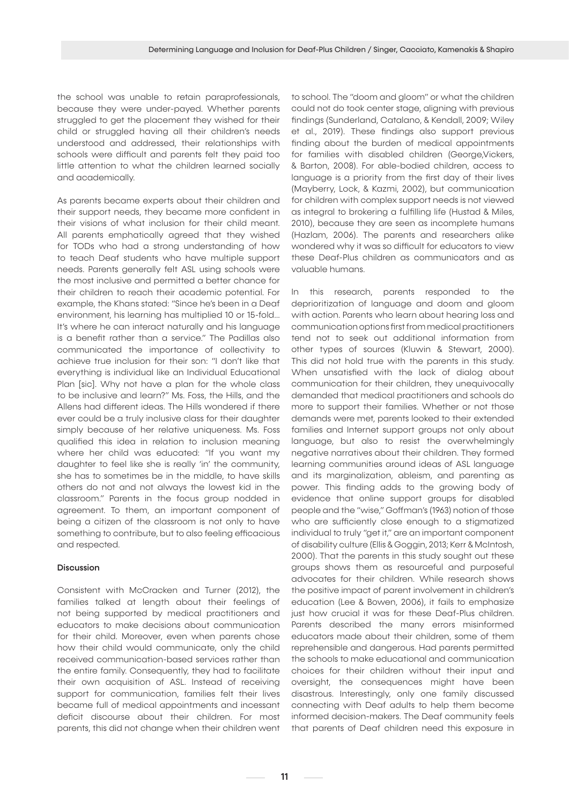the school was unable to retain paraprofessionals, because they were under-payed. Whether parents struggled to get the placement they wished for their child or struggled having all their children's needs understood and addressed, their relationships with schools were difficult and parents felt they paid too little attention to what the children learned socially and academically.

As parents became experts about their children and their support needs, they became more confident in their visions of what inclusion for their child meant. All parents emphatically agreed that they wished for TODs who had a strong understanding of how to teach Deaf students who have multiple support needs. Parents generally felt ASL using schools were the most inclusive and permitted a better chance for their children to reach their academic potential. For example, the Khans stated: "Since he's been in a Deaf environment, his learning has multiplied 10 or 15-fold... It's where he can interact naturally and his language is a benefit rather than a service." The Padillas also communicated the importance of collectivity to achieve true inclusion for their son: "I don't like that everything is individual like an Individual Educational Plan [sic]. Why not have a plan for the whole class to be inclusive and learn?" Ms. Foss, the Hills, and the Allens had different ideas. The Hills wondered if there ever could be a truly inclusive class for their daughter simply because of her relative uniqueness. Ms. Foss qualified this idea in relation to inclusion meaning where her child was educated: "If you want my daughter to feel like she is really 'in' the community, she has to sometimes be in the middle, to have skills others do not and not always the lowest kid in the classroom." Parents in the focus group nodded in agreement. To them, an important component of being a citizen of the classroom is not only to have something to contribute, but to also feeling efficacious and respected.

# Discussion

Consistent with McCracken and Turner (2012), the families talked at length about their feelings of not being supported by medical practitioners and educators to make decisions about communication for their child. Moreover, even when parents chose how their child would communicate, only the child received communication-based services rather than the entire family. Consequently, they had to facilitate their own acquisition of ASL. Instead of receiving support for communication, families felt their lives became full of medical appointments and incessant deficit discourse about their children. For most parents, this did not change when their children went to school. The "doom and gloom" or what the children could not do took center stage, aligning with previous findings (Sunderland, Catalano, & Kendall, 2009; Wiley et al., 2019). These findings also support previous finding about the burden of medical appointments for families with disabled children (George,Vickers, & Barton, 2008). For able-bodied children, access to language is a priority from the first day of their lives (Mayberry, Lock, & Kazmi, 2002), but communication for children with complex support needs is not viewed as integral to brokering a fulfilling life (Hustad & Miles, 2010), because they are seen as incomplete humans (Hazlam, 2006). The parents and researchers alike wondered why it was so difficult for educators to view these Deaf-Plus children as communicators and as valuable humans.

In this research, parents responded to the deprioritization of language and doom and gloom with action. Parents who learn about hearing loss and communication options first from medical practitioners tend not to seek out additional information from other types of sources (Kluwin & Stewart, 2000). This did not hold true with the parents in this study. When unsatisfied with the lack of dialog about communication for their children, they unequivocally demanded that medical practitioners and schools do more to support their families. Whether or not those demands were met, parents looked to their extended families and Internet support groups not only about language, but also to resist the overwhelmingly negative narratives about their children. They formed learning communities around ideas of ASL language and its marginalization, ableism, and parenting as power. This finding adds to the growing body of evidence that online support groups for disabled people and the "wise," Goffman's (1963) notion of those who are sufficiently close enough to a stigmatized individual to truly "get it," are an important component of disability culture (Ellis & Goggin, 2013; Kerr & McIntosh, 2000). That the parents in this study sought out these groups shows them as resourceful and purposeful advocates for their children. While research shows the positive impact of parent involvement in children's education (Lee & Bowen, 2006), it fails to emphasize just how crucial it was for these Deaf-Plus children. Parents described the many errors misinformed educators made about their children, some of them reprehensible and dangerous. Had parents permitted the schools to make educational and communication choices for their children without their input and oversight, the consequences might have been disastrous. Interestingly, only one family discussed connecting with Deaf adults to help them become informed decision-makers. The Deaf community feels that parents of Deaf children need this exposure in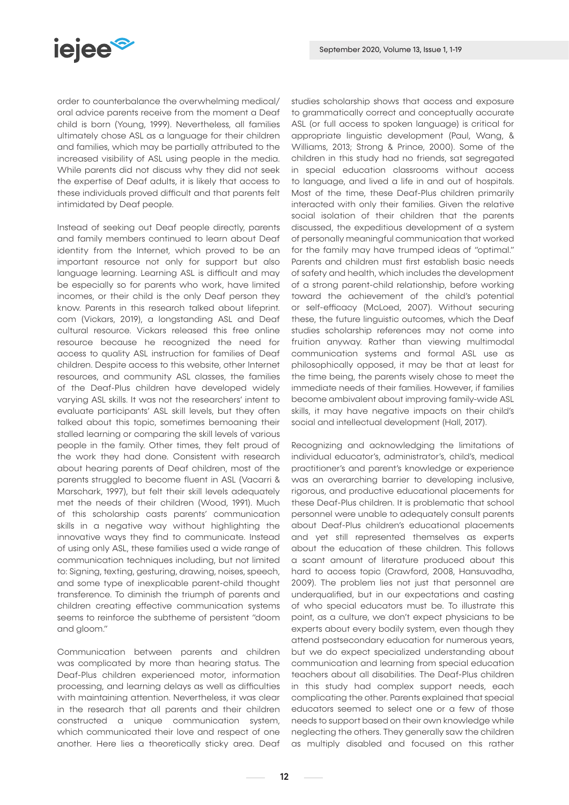

order to counterbalance the overwhelming medical/ oral advice parents receive from the moment a Deaf child is born (Young, 1999). Nevertheless, all families ultimately chose ASL as a language for their children and families, which may be partially attributed to the increased visibility of ASL using people in the media. While parents did not discuss why they did not seek the expertise of Deaf adults, it is likely that access to these individuals proved difficult and that parents felt intimidated by Deaf people.

Instead of seeking out Deaf people directly, parents and family members continued to learn about Deaf identity from the Internet, which proved to be an important resource not only for support but also language learning. Learning ASL is difficult and may be especially so for parents who work, have limited incomes, or their child is the only Deaf person they know. Parents in this research talked about lifeprint. com (Vickars, 2019), a longstanding ASL and Deaf cultural resource. Vickars released this free online resource because he recognized the need for access to quality ASL instruction for families of Deaf children. Despite access to this website, other Internet resources, and community ASL classes, the families of the Deaf-Plus children have developed widely varying ASL skills. It was not the researchers' intent to evaluate participants' ASL skill levels, but they often talked about this topic, sometimes bemoaning their stalled learning or comparing the skill levels of various people in the family. Other times, they felt proud of the work they had done. Consistent with research about hearing parents of Deaf children, most of the parents struggled to become fluent in ASL (Vacarri & Marschark, 1997), but felt their skill levels adequately met the needs of their children (Wood, 1991). Much of this scholarship casts parents' communication skills in a negative way without highlighting the innovative ways they find to communicate. Instead of using only ASL, these families used a wide range of communication techniques including, but not limited to: Signing, texting, gesturing, drawing, noises, speech, and some type of inexplicable parent-child thought transference. To diminish the triumph of parents and children creating effective communication systems seems to reinforce the subtheme of persistent "doom and gloom."

Communication between parents and children was complicated by more than hearing status. The Deaf-Plus children experienced motor, information processing, and learning delays as well as difficulties with maintaining attention. Nevertheless, it was clear in the research that all parents and their children constructed a unique communication system, which communicated their love and respect of one another. Here lies a theoretically sticky area. Deaf

studies scholarship shows that access and exposure to grammatically correct and conceptually accurate ASL (or full access to spoken language) is critical for appropriate linguistic development (Paul, Wang, & Williams, 2013; Strong & Prince, 2000). Some of the children in this study had no friends, sat segregated in special education classrooms without access to language, and lived a life in and out of hospitals. Most of the time, these Deaf-Plus children primarily interacted with only their families. Given the relative social isolation of their children that the parents discussed, the expeditious development of a system of personally meaningful communication that worked for the family may have trumped ideas of "optimal." Parents and children must first establish basic needs of safety and health, which includes the development of a strong parent-child relationship, before working toward the achievement of the child's potential or self-efficacy (McLoed, 2007). Without securing these, the future linguistic outcomes, which the Deaf studies scholarship references may not come into fruition anyway. Rather than viewing multimodal communication systems and formal ASL use as philosophically opposed, it may be that at least for the time being, the parents wisely chose to meet the immediate needs of their families. However, if families become ambivalent about improving family-wide ASL skills, it may have negative impacts on their child's social and intellectual development (Hall, 2017).

Recognizing and acknowledging the limitations of individual educator's, administrator's, child's, medical practitioner's and parent's knowledge or experience was an overarching barrier to developing inclusive, rigorous, and productive educational placements for these Deaf-Plus children. It is problematic that school personnel were unable to adequately consult parents about Deaf-Plus children's educational placements and yet still represented themselves as experts about the education of these children. This follows a scant amount of literature produced about this hard to access topic (Crawford, 2008, Hansuvadha, 2009). The problem lies not just that personnel are underqualified, but in our expectations and casting of who special educators must be. To illustrate this point, as a culture, we don't expect physicians to be experts about every bodily system, even though they attend postsecondary education for numerous years, but we do expect specialized understanding about communication and learning from special education teachers about all disabilities. The Deaf-Plus children in this study had complex support needs, each complicating the other. Parents explained that special educators seemed to select one or a few of those needs to support based on their own knowledge while neglecting the others. They generally saw the children as multiply disabled and focused on this rather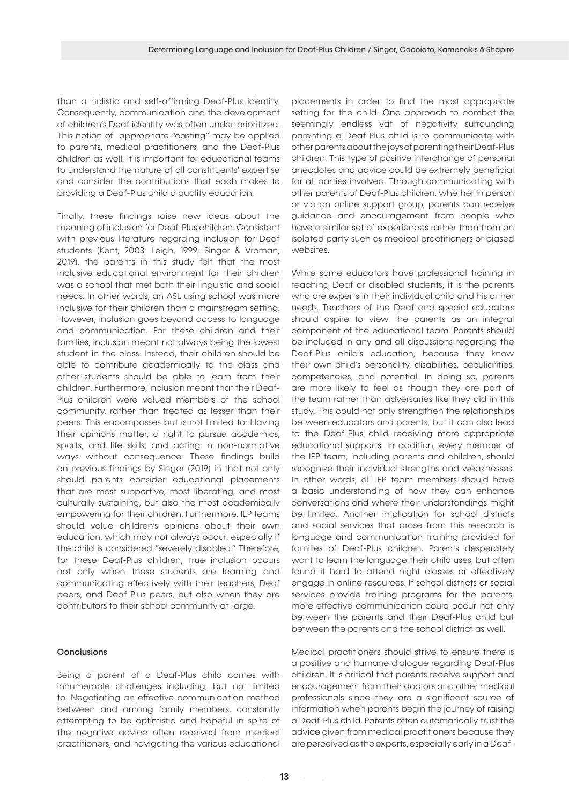than a holistic and self-affirming Deaf-Plus identity. Consequently, communication and the development of children's Deaf identity was often under-prioritized. This notion of appropriate "casting" may be applied to parents, medical practitioners, and the Deaf-Plus children as well. It is important for educational teams to understand the nature of all constituents' expertise and consider the contributions that each makes to providing a Deaf-Plus child a quality education.

Finally, these findings raise new ideas about the meaning of inclusion for Deaf-Plus children. Consistent with previous literature regarding inclusion for Deaf students (Kent, 2003; Leigh, 1999; Singer & Vroman, 2019), the parents in this study felt that the most inclusive educational environment for their children was a school that met both their linguistic and social needs. In other words, an ASL using school was more inclusive for their children than a mainstream setting. However, inclusion goes beyond access to language and communication. For these children and their families, inclusion meant not always being the lowest student in the class. Instead, their children should be able to contribute academically to the class and other students should be able to learn from their children. Furthermore, inclusion meant that their Deaf-Plus children were valued members of the school community, rather than treated as lesser than their peers. This encompasses but is not limited to: Having their opinions matter, a right to pursue academics, sports, and life skills, and acting in non-normative ways without consequence. These findings build on previous findings by Singer (2019) in that not only should parents consider educational placements that are most supportive, most liberating, and most culturally-sustaining, but also the most academically empowering for their children. Furthermore, IEP teams should value children's opinions about their own education, which may not always occur, especially if the child is considered "severely disabled." Therefore, for these Deaf-Plus children, true inclusion occurs not only when these students are learning and communicating effectively with their teachers, Deaf peers, and Deaf-Plus peers, but also when they are contributors to their school community at-large.

## **Conclusions**

Being a parent of a Deaf-Plus child comes with innumerable challenges including, but not limited to: Negotiating an effective communication method between and among family members, constantly attempting to be optimistic and hopeful in spite of the negative advice often received from medical practitioners, and navigating the various educational

placements in order to find the most appropriate setting for the child. One approach to combat the seemingly endless vat of negativity surrounding parenting a Deaf-Plus child is to communicate with other parents about the joys of parenting their Deaf-Plus children. This type of positive interchange of personal anecdotes and advice could be extremely beneficial for all parties involved. Through communicating with other parents of Deaf-Plus children, whether in person or via an online support group, parents can receive guidance and encouragement from people who have a similar set of experiences rather than from an isolated party such as medical practitioners or biased websites.

While some educators have professional training in teaching Deaf or disabled students, it is the parents who are experts in their individual child and his or her needs. Teachers of the Deaf and special educators should aspire to view the parents as an integral component of the educational team. Parents should be included in any and all discussions regarding the Deaf-Plus child's education, because they know their own child's personality, disabilities, peculiarities, competencies, and potential. In doing so, parents are more likely to feel as though they are part of the team rather than adversaries like they did in this study. This could not only strengthen the relationships between educators and parents, but it can also lead to the Deaf-Plus child receiving more appropriate educational supports. In addition, every member of the IEP team, including parents and children, should recognize their individual strengths and weaknesses. In other words, all IEP team members should have a basic understanding of how they can enhance conversations and where their understandings might be limited. Another implication for school districts and social services that arose from this research is language and communication training provided for families of Deaf-Plus children. Parents desperately want to learn the language their child uses, but often found it hard to attend night classes or effectively engage in online resources. If school districts or social services provide training programs for the parents, more effective communication could occur not only between the parents and their Deaf-Plus child but between the parents and the school district as well.

Medical practitioners should strive to ensure there is a positive and humane dialogue regarding Deaf-Plus children. It is critical that parents receive support and encouragement from their doctors and other medical professionals since they are a significant source of information when parents begin the journey of raising a Deaf-Plus child. Parents often automatically trust the advice given from medical practitioners because they are perceived as the experts, especially early in a Deaf-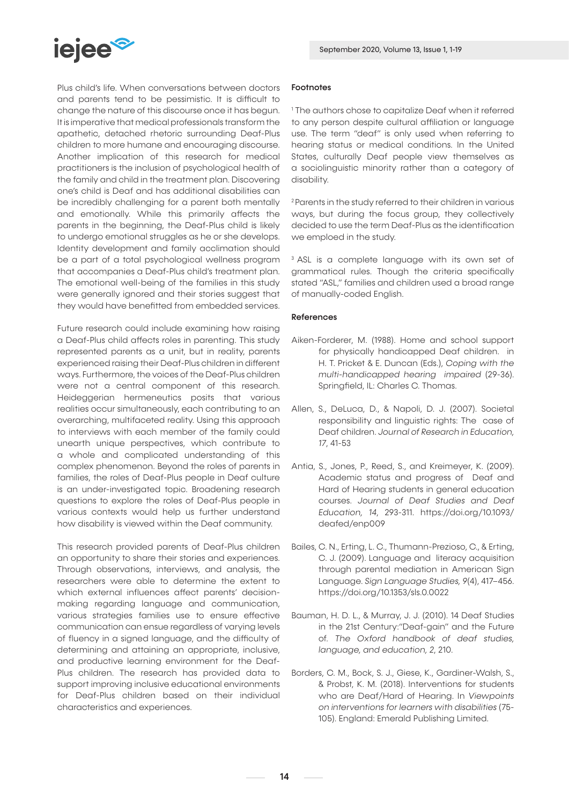

Plus child's life. When conversations between doctors and parents tend to be pessimistic. It is difficult to change the nature of this discourse once it has begun. It is imperative that medical professionals transform the apathetic, detached rhetoric surrounding Deaf-Plus children to more humane and encouraging discourse. Another implication of this research for medical practitioners is the inclusion of psychological health of the family and child in the treatment plan. Discovering one's child is Deaf and has additional disabilities can be incredibly challenging for a parent both mentally and emotionally. While this primarily affects the parents in the beginning, the Deaf-Plus child is likely to undergo emotional struggles as he or she develops. Identity development and family acclimation should be a part of a total psychological wellness program that accompanies a Deaf-Plus child's treatment plan. The emotional well-being of the families in this study were generally ignored and their stories suggest that they would have benefitted from embedded services.

Future research could include examining how raising a Deaf-Plus child affects roles in parenting. This study represented parents as a unit, but in reality, parents experienced raising their Deaf-Plus children in different ways. Furthermore, the voices of the Deaf-Plus children were not a central component of this research. Heideggerian hermeneutics posits that various realities occur simultaneously, each contributing to an overarching, multifaceted reality. Using this approach to interviews with each member of the family could unearth unique perspectives, which contribute to a whole and complicated understanding of this complex phenomenon. Beyond the roles of parents in families, the roles of Deaf-Plus people in Deaf culture is an under-investigated topic. Broadening research questions to explore the roles of Deaf-Plus people in various contexts would help us further understand how disability is viewed within the Deaf community.

This research provided parents of Deaf-Plus children an opportunity to share their stories and experiences. Through observations, interviews, and analysis, the researchers were able to determine the extent to which external influences affect parents' decisionmaking regarding language and communication, various strategies families use to ensure effective communication can ensue regardless of varying levels of fluency in a signed language, and the difficulty of determining and attaining an appropriate, inclusive, and productive learning environment for the Deaf-Plus children. The research has provided data to support improving inclusive educational environments for Deaf-Plus children based on their individual characteristics and experiences.

## Footnotes

1 The authors chose to capitalize Deaf when it referred to any person despite cultural affiliation or language use. The term "deaf" is only used when referring to hearing status or medical conditions. In the United States, culturally Deaf people view themselves as a sociolinguistic minority rather than a category of disability.

<sup>2</sup> Parents in the study referred to their children in various ways, but during the focus group, they collectively decided to use the term Deaf-Plus as the identification we emploed in the study.

<sup>3</sup> ASL is a complete language with its own set of grammatical rules. Though the criteria specifically stated "ASL," families and children used a broad range of manually-coded English.

# References

- Aiken-Forderer, M. (1988). Home and school support for physically handicapped Deaf children. in H. T. Pricket & E. Duncan (Eds.), *Coping with the multi-handicapped hearing impaired* (29-36). Springfield, IL: Charles C. Thomas.
- Allen, S., DeLuca, D., & Napoli, D. J. (2007). Societal responsibility and linguistic rights: The case of Deaf children. *Journal of Research in Education, 17*, 41-53
- Antia, S., Jones, P., Reed, S., and Kreimeyer, K. (2009). Academic status and progress of Deaf and Hard of Hearing students in general education courses. *Journal of Deaf Studies and Deaf Education, 14*, 293-311. https://doi.org/10.1093/ deafed/enp009
- Bailes, C. N., Erting, L. C., Thumann-Prezioso, C., & Erting, C. J. (2009). Language and literacy acquisition through parental mediation in American Sign Language. *Sign Language Studies, 9*(4), 417–456. https://doi.org/10.1353/sls.0.0022
- Bauman, H. D. L., & Murray, J. J. (2010). 14 Deaf Studies in the 21st Century:"Deaf-gain" and the Future of. *The Oxford handbook of deaf studies, language, and education, 2*, 210.
- Borders, C. M., Bock, S. J., Giese, K., Gardiner-Walsh, S., & Probst, K. M. (2018). Interventions for students who are Deaf/Hard of Hearing. In *Viewpoints on interventions for learners with disabilities* (75- 105). England: Emerald Publishing Limited.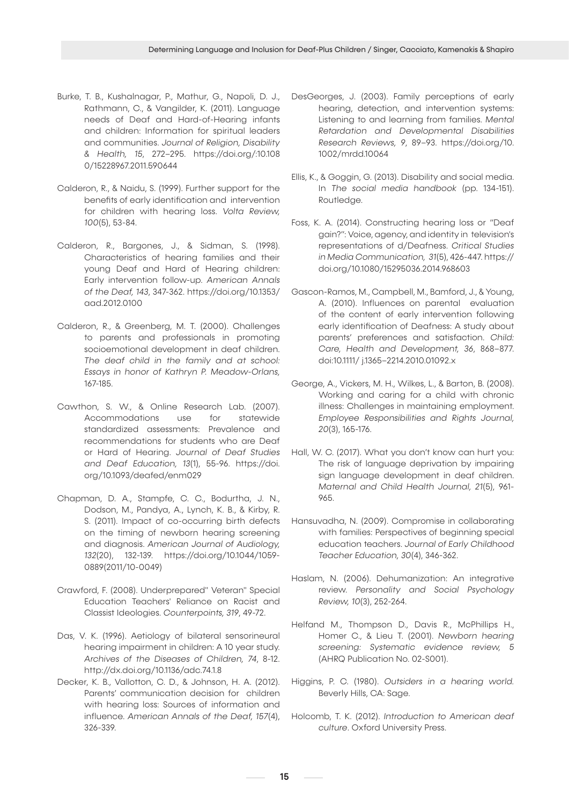- Burke, T. B., Kushalnagar, P., Mathur, G., Napoli, D. J., Rathmann, C., & Vangilder, K. (2011). Language needs of Deaf and Hard-of-Hearing infants and children: Information for spiritual leaders and communities. *Journal of Religion, Disability & Health, 15*, 272–295. https://doi.org/:10.108 0/15228967.2011.590644
- Calderon, R., & Naidu, S. (1999). Further support for the benefits of early identification and intervention for children with hearing loss. *Volta Review, 100*(5), 53-84.
- Calderon, R., Bargones, J., & Sidman, S. (1998). Characteristics of hearing families and their young Deaf and Hard of Hearing children: Early intervention follow-up. *American Annals of the Deaf, 143*, 347-362. https://doi.org/10.1353/ aad.2012.0100
- Calderon, R., & Greenberg, M. T. (2000). Challenges to parents and professionals in promoting socioemotional development in deaf children. *The deaf child in the family and at school: Essays in honor of Kathryn P. Meadow-Orlans,*  167-185.
- Cawthon, S. W., & Online Research Lab. (2007). Accommodations use for statewide standardized assessments: Prevalence and recommendations for students who are Deaf or Hard of Hearing. *Journal of Deaf Studies and Deaf Education, 13*(1), 55-96. https://doi. org/10.1093/deafed/enm029
- Chapman, D. A., Stampfe, C. C., Bodurtha, J. N., Dodson, M., Pandya, A., Lynch, K. B., & Kirby, R. S. (2011). Impact of co-occurring birth defects on the timing of newborn hearing screening and diagnosis. *American Journal of Audiology, 132*(20), 132-139. https://doi.org/10.1044/1059- 0889(2011/10-0049)
- Crawford, F. (2008). Underprepared" Veteran" Special Education Teachers' Reliance on Racist and Classist Ideologies. *Counterpoints, 319*, 49-72.
- Das, V. K. (1996). Aetiology of bilateral sensorineural hearing impairment in children: A 10 year study. *Archives of the Diseases of Children, 74*, 8-12. http://dx.doi.org/10.1136/adc.74.1.8
- Decker, K. B., Vallotton, C. D., & Johnson, H. A. (2012). Parents' communication decision for children with hearing loss: Sources of information and influence. *American Annals of the Deaf, 157*(4), 326-339.

- DesGeorges, J. (2003). Family perceptions of early hearing, detection, and intervention systems: Listening to and learning from families. *Mental Retardation and Developmental Disabilities Research Reviews, 9*, 89–93. https://doi.org/10. 1002/mrdd.10064
- Ellis, K., & Goggin, G. (2013). Disability and social media. In *The social media handbook* (pp. 134-151). Routledge.
- Foss, K. A. (2014). Constructing hearing loss or "Deaf gain?": Voice, agency, and identity in television's representations of d/Deafness. *Critical Studies in Media Communication, 31*(5), 426-447. https:// doi.org/10.1080/15295036.2014.968603
- Gascon-Ramos, M., Campbell, M., Bamford, J., & Young, A. (2010). Influences on parental evaluation of the content of early intervention following early identification of Deafness: A study about parents' preferences and satisfaction. *Child: Care, Health and Development, 36*, 868–877. doi:10.1111/ j.1365–2214.2010.01092.x
- George, A., Vickers, M. H., Wilkes, L., & Barton, B. (2008). Working and caring for a child with chronic illness: Challenges in maintaining employment. *Employee Responsibilities and Rights Journal, 20*(3), 165-176.
- Hall, W. C. (2017). What you don't know can hurt you: The risk of language deprivation by impairing sign language development in deaf children. *Maternal and Child Health Journal, 21*(5), 961- 965.
- Hansuvadha, N. (2009). Compromise in collaborating with families: Perspectives of beginning special education teachers. *Journal of Early Childhood Teacher Education, 30*(4), 346-362.
- Haslam, N. (2006). Dehumanization: An integrative review. *Personality and Social Psychology Review, 10*(3), 252-264.
- Helfand M., Thompson D., Davis R., McPhillips H., Homer C., & Lieu T. (2001). *Newborn hearing screening: Systematic evidence review, 5*  (AHRQ Publication No. 02-S001).
- Higgins, P. C. (1980). *Outsiders in a hearing world.*  Beverly Hills, CA: Sage.
- Holcomb, T. K. (2012). *Introduction to American deaf culture*. Oxford University Press.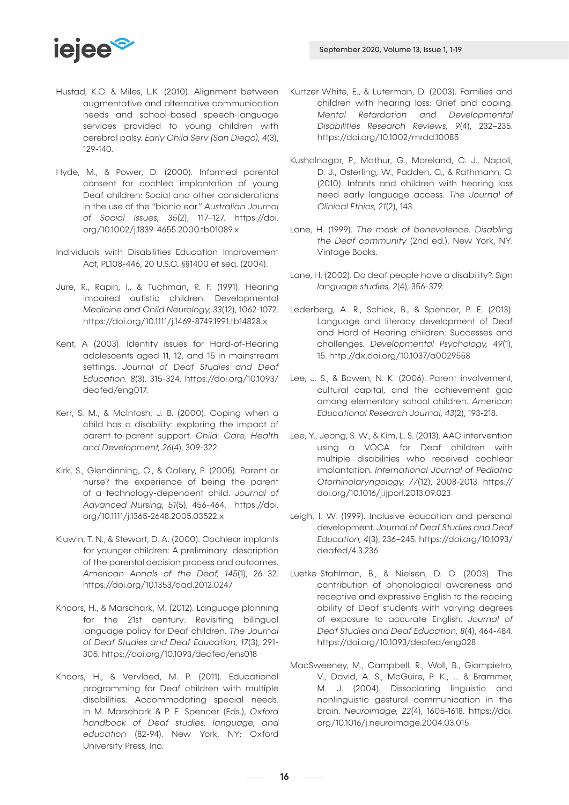

- Hustad, K.C. & Miles, L.K. (2010). Alignment between augmentative and alternative communication needs and school-based speech-language services provided to young children with cerebral palsy. *Early Child Serv (San Diego), 4*(3), 129-140.
- Hyde, M., & Power, D. (2000). Informed parental consent for cochlea implantation of young Deaf children: Social and other considerations in the use of the "bionic ear." *Australian Journal of Social Issues, 35*(2), 117–127. https://doi. org/10.1002/j.1839-4655.2000.tb01089.x
- Individuals with Disabilities Education Improvement Act, PL108-446, 20 U.S.C. §§1400 et seq. (2004).
- Jure, R., Rapin, I., & Tuchman, R. F. (1991). Hearing impaired autistic children. Developmental *Medicine and Child Neurology, 33*(12), 1062-1072. https://doi.org/10.1111/j.1469-8749.1991.tb14828.x
- Kent, A (2003). Identity issues for Hard-of-Hearing adolescents aged 11, 12, and 15 in mainstream settings. *Journal of Deaf Studies and Deaf Education. 8*(3). 315-324. https://doi.org/10.1093/ deafed/eng017.
- Kerr, S. M., & McIntosh, J. B. (2000). Coping when a child has a disability: exploring the impact of parent-to-parent support. *Child: Care, Health and Development, 26*(4), 309-322.
- Kirk, S., Glendinning, C., & Callery, P. (2005). Parent or nurse? the experience of being the parent of a technology-dependent child. *Journal of Advanced Nursing, 51*(5), 456-464. https://doi. org/10.1111/j.1365-2648.2005.03522.x
- Kluwin, T. N., & Stewart, D. A. (2000). Cochlear implants for younger children: A preliminary description of the parental decision process and outcomes. *American Annals of the Deaf, 145*(1), 26–32. https://doi.org/10.1353/aad.2012.0247
- Knoors, H., & Marschark, M. (2012). Language planning for the 21st century: Revisiting bilingual language policy for Deaf children. *The Journal of Deaf Studies and Deaf Education, 17*(3), 291- 305. https://doi.org/10.1093/deafed/ens018
- Knoors, H., & Vervloed, M. P. (2011). Educational programming for Deaf children with multiple disabilities: Accommodating special needs. In M. Marschark & P. E. Spencer (Eds.), *Oxford handbook of Deaf studies, language, and education* (82-94). New York, NY: Oxford University Press, Inc.
- Kurtzer-White, E., & Luterman, D. (2003). Families and children with hearing loss: Grief and coping. *Mental Retardation and Developmental Disabilities Research Reviews, 9*(4), 232–235. https://doi.org/10.1002/mrdd.10085
- Kushalnagar, P., Mathur, G., Moreland, C. J., Napoli, D. J., Osterling, W., Padden, C., & Rathmann, C. (2010). Infants and children with hearing loss need early language access. *The Journal of Clinical Ethics, 21*(2), 143.
- Lane, H. (1999). *The mask of benevolence: Disabling the Deaf community* (2nd ed.). New York, NY: Vintage Books.
- Lane, H. (2002). Do deaf people have a disability?. *Sign language studies, 2*(4), 356-379.
- Lederberg, A. R., Schick, B., & Spencer, P. E. (2013). Language and literacy development of Deaf and Hard-of-Hearing children: Successes and challenges. *Developmental Psychology, 49*(1), 15. http://dx.doi.org/10.1037/a0029558
- Lee, J. S., & Bowen, N. K. (2006). Parent involvement, cultural capital, and the achievement gap among elementary school children. *American Educational Research Journal, 43*(2), 193-218.
- Lee, Y., Jeong, S. W., & Kim, L. S. (2013). AAC intervention using a VOCA for Deaf children with multiple disabilities who received cochlear implantation. *International Journal of Pediatric Otorhinolaryngology, 77*(12), 2008-2013. https:// doi.org/10.1016/j.ijporl.2013.09.023
- Leigh, I. W. (1999). Inclusive education and personal development. *Journal of Deaf Studies and Deaf Education, 4*(3), 236–245. https://doi.org/10.1093/ deafed/4.3.236
- Luetke-Stahlman, B., & Nielsen, D. C. (2003). The contribution of phonological awareness and receptive and expressive English to the reading ability of Deaf students with varying degrees of exposure to accurate English. *Journal of Deaf Studies and Deaf Education, 8*(4), 464-484. https://doi.org/10.1093/deafed/eng028
- MacSweeney, M., Campbell, R., Woll, B., Giampietro, V., David, A. S., McGuire, P. K., ... & Brammer, M. J. (2004). Dissociating linguistic and nonlinguistic gestural communication in the brain. *Neuroimage, 22*(4), 1605-1618. https://doi. org/10.1016/j.neuroimage.2004.03.015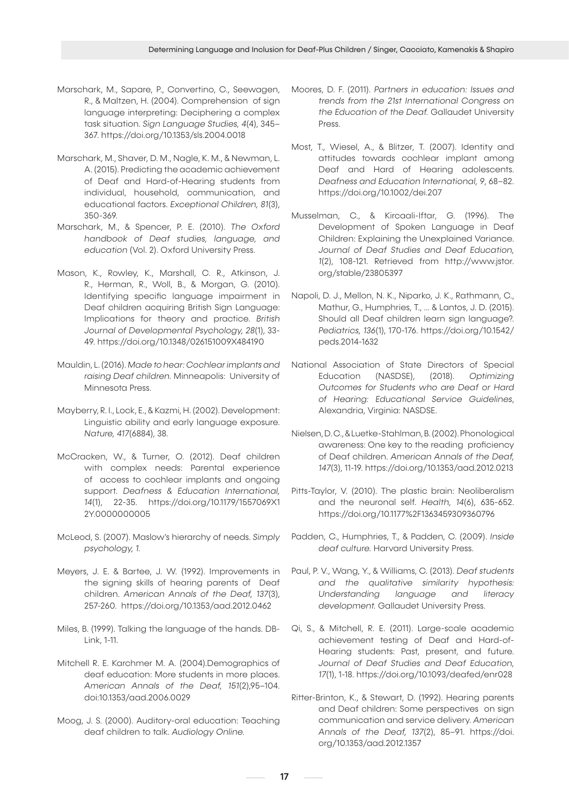- Marschark, M., Sapare, P., Convertino, C., Seewagen, R., & Maltzen, H. (2004). Comprehension of sign language interpreting: Deciphering a complex task situation. *Sign Language Studies, 4*(4), 345– 367. https://doi.org/10.1353/sls.2004.0018
- Marschark, M., Shaver, D. M., Nagle, K. M., & Newman, L. A. (2015). Predicting the academic achievement of Deaf and Hard-of-Hearing students from individual, household, communication, and educational factors. *Exceptional Children, 81*(3), 350-369.
- Marschark, M., & Spencer, P. E. (2010). *The Oxford handbook of Deaf studies, language, and education* (Vol. 2). Oxford University Press.
- Mason, K., Rowley, K., Marshall, C. R., Atkinson, J. R., Herman, R., Woll, B., & Morgan, G. (2010). Identifying specific language impairment in Deaf children acquiring British Sign Language: Implications for theory and practice. *British Journal of Developmental Psychology, 28*(1), 33- 49. https://doi.org/10.1348/026151009X484190
- Mauldin, L. (2016). *Made to hear: Cochlear implants and raising Deaf children.* Minneapolis: University of Minnesota Press.
- Mayberry, R. I., Lock, E., & Kazmi, H. (2002). Development: Linguistic ability and early language exposure. *Nature, 417*(6884), 38.
- McCracken, W., & Turner, O. (2012). Deaf children with complex needs: Parental experience of access to cochlear implants and ongoing support. *Deafness & Education International, 14*(1), 22-35. https://doi.org/10.1179/1557069X1 2Y.0000000005
- McLeod, S. (2007). Maslow's hierarchy of needs. *Simply psychology, 1.*
- Meyers, J. E. & Bartee, J. W. (1992). Improvements in the signing skills of hearing parents of Deaf children. *American Annals of the Deaf, 137*(3), 257-260. https://doi.org/10.1353/aad.2012.0462
- Miles, B. (1999). Talking the language of the hands. DB-Link, 1-11.
- Mitchell R. E. Karchmer M. A. (2004).Demographics of deaf education: More students in more places. *American Annals of the Deaf, 151*(2),95–104. doi:10.1353/aad.2006.0029
- Moog, J. S. (2000). Auditory-oral education: Teaching deaf children to talk. *Audiology Online.*
- Moores, D. F. (2011). *Partners in education: Issues and trends from the 21st International Congress on the Education of the Deaf.* Gallaudet University Press.
- Most, T., Wiesel, A., & Blitzer, T. (2007). Identity and attitudes towards cochlear implant among Deaf and Hard of Hearing adolescents. *Deafness and Education International, 9*, 68–82. https://doi.org/10.1002/dei.207
- Musselman, C., & Kircaali-Iftar, G. (1996). The Development of Spoken Language in Deaf Children: Explaining the Unexplained Variance. *Journal of Deaf Studies and Deaf Education, 1*(2), 108-121. Retrieved from http://www.jstor. org/stable/23805397
- Napoli, D. J., Mellon, N. K., Niparko, J. K., Rathmann, C., Mathur, G., Humphries, T., ... & Lantos, J. D. (2015). Should all Deaf children learn sign language?. *Pediatrics, 136*(1), 170-176. https://doi.org/10.1542/ peds.2014-1632
- National Association of State Directors of Special Education (NASDSE), (2018). *Optimizing Outcomes for Students who are Deaf or Hard of Hearing: Educational Service Guidelines*, Alexandria, Virginia: NASDSE.
- Nielsen, D. C., & Luetke-Stahlman, B. (2002). Phonological awareness: One key to the reading proficiency of Deaf children. *American Annals of the Deaf, 147*(3), 11-19. https://doi.org/10.1353/aad.2012.0213
- Pitts-Taylor, V. (2010). The plastic brain: Neoliberalism and the neuronal self. *Health, 14*(6), 635-652. https://doi.org/10.1177%2F1363459309360796
- Padden, C., Humphries, T., & Padden, C. (2009). *Inside deaf culture.* Harvard University Press.
- Paul, P. V., Wang, Y., & Williams, C. (2013). *Deaf students and the qualitative similarity hypothesis: Understanding language and literacy development.* Gallaudet University Press.
- Qi, S., & Mitchell, R. E. (2011). Large-scale academic achievement testing of Deaf and Hard-of-Hearing students: Past, present, and future. *Journal of Deaf Studies and Deaf Education, 17*(1), 1-18. https://doi.org/10.1093/deafed/enr028
- Ritter-Brinton, K., & Stewart, D. (1992). Hearing parents and Deaf children: Some perspectives on sign communication and service delivery. *American Annals of the Deaf, 137*(2), 85–91. https://doi. org/10.1353/aad.2012.1357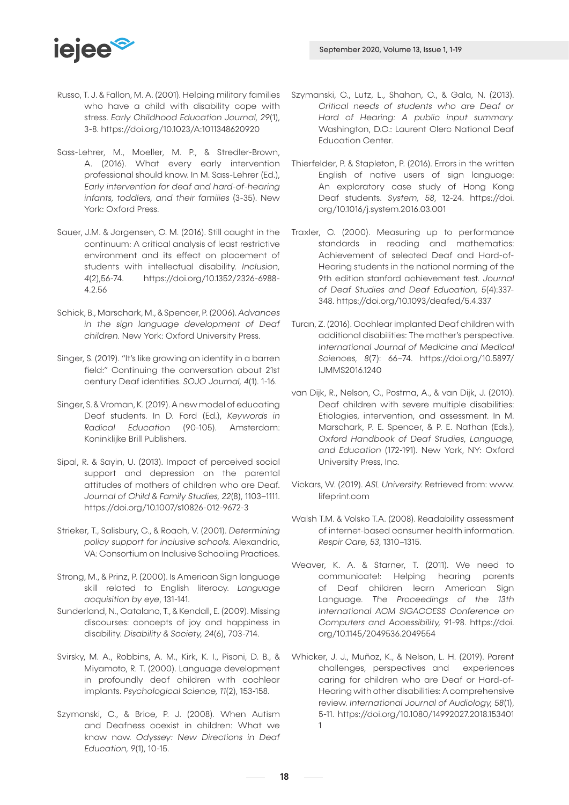

- Russo, T. J. & Fallon, M. A. (2001). Helping military families who have a child with disability cope with stress. *Early Childhood Education Journal, 29*(1), 3-8. https://doi.org/10.1023/A:1011348620920
- Sass-Lehrer, M., Moeller, M. P., & Stredler-Brown, A. (2016). What every early intervention professional should know. In M. Sass-Lehrer (Ed.), *Early intervention for deaf and hard-of-hearing infants, toddlers, and their families* (3-35). New York: Oxford Press.
- Sauer, J.M. & Jorgensen, C. M. (2016). Still caught in the continuum: A critical analysis of least restrictive environment and its effect on placement of students with intellectual disability. *Inclusion, 4*(2),56-74. https://doi.org/10.1352/2326-6988- 4.2.56
- Schick, B., Marschark, M., & Spencer, P. (2006). *Advances in the sign language development of Deaf children.* New York: Oxford University Press.
- Singer, S. (2019). "It's like growing an identity in a barren field:" Continuing the conversation about 21st century Deaf identities. *SOJO Journal, 4*(1). 1-16.
- Singer, S. & Vroman, K. (2019). A new model of educating Deaf students. In D. Ford (Ed.), *Keywords in Radical Education* (90-105). Amsterdam: Koninklijke Brill Publishers.
- Sipal, R. & Sayin, U. (2013). Impact of perceived social support and depression on the parental attitudes of mothers of children who are Deaf. *Journal of Child & Family Studies, 22*(8), 1103–1111. https://doi.org/10.1007/s10826-012-9672-3
- Strieker, T., Salisbury, C., & Roach, V. (2001). *Determining policy support for inclusive schools.* Alexandria, VA: Consortium on Inclusive Schooling Practices.
- Strong, M., & Prinz, P. (2000). Is American Sign language skill related to English literacy. *Language acquisition by eye*, 131-141.
- Sunderland, N., Catalano, T., & Kendall, E. (2009). Missing discourses: concepts of joy and happiness in disability. *Disability & Society, 24*(6), 703-714.
- Svirsky, M. A., Robbins, A. M., Kirk, K. I., Pisoni, D. B., & Miyamoto, R. T. (2000). Language development in profoundly deaf children with cochlear implants. *Psychological Science, 11*(2), 153-158.
- Szymanski, C., & Brice, P. J. (2008). When Autism and Deafness coexist in children: What we know now. *Odyssey: New Directions in Deaf Education, 9*(1), 10-15.
- Szymanski, C., Lutz, L., Shahan, C., & Gala, N. (2013). *Critical needs of students who are Deaf or Hard of Hearing: A public input summary.*  Washington, D.C.: Laurent Clerc National Deaf Education Center.
- Thierfelder, P. & Stapleton, P. (2016). Errors in the written English of native users of sign language: An exploratory case study of Hong Kong Deaf students. *System, 58*, 12-24. https://doi. org/10.1016/j.system.2016.03.001
- Traxler, C. (2000). Measuring up to performance standards in reading and mathematics: Achievement of selected Deaf and Hard-of-Hearing students in the national norming of the 9th edition stanford achievement test. *Journal of Deaf Studies and Deaf Education, 5*(4):337- 348. https://doi.org/10.1093/deafed/5.4.337
- Turan, Z. (2016). Cochlear implanted Deaf children with additional disabilities: The mother's perspective. *International Journal of Medicine and Medical Sciences, 8*(7): 66–74. https://doi.org/10.5897/ IJMMS2016.1240
- van Dijk, R., Nelson, C., Postma, A., & van Dijk, J. (2010). Deaf children with severe multiple disabilities: Etiologies, intervention, and assessment. In M. Marschark, P. E. Spencer, & P. E. Nathan (Eds.), *Oxford Handbook of Deaf Studies, Language, and Education* (172-191). New York, NY: Oxford University Press, Inc.
- Vickars, W. (2019). *ASL University.* Retrieved from: www. lifeprint.com
- Walsh T.M. & Volsko T.A. (2008). Readability assessment of internet-based consumer health information. *Respir Care, 53*, 1310–1315.
- Weaver, K. A. & Starner, T. (2011). We need to communicate!: Helping hearing parents of Deaf children learn American Sign Language. *The Proceedings of the 13th International ACM SIGACCESS Conference on Computers and Accessibility,* 91-98. https://doi. org/10.1145/2049536.2049554
- Whicker, J. J., Muñoz, K., & Nelson, L. H. (2019). Parent challenges, perspectives and experiences caring for children who are Deaf or Hard-of-Hearing with other disabilities: A comprehensive review. *International Journal of Audiology, 58*(1), 5-11. https://doi.org/10.1080/14992027.2018.153401 1